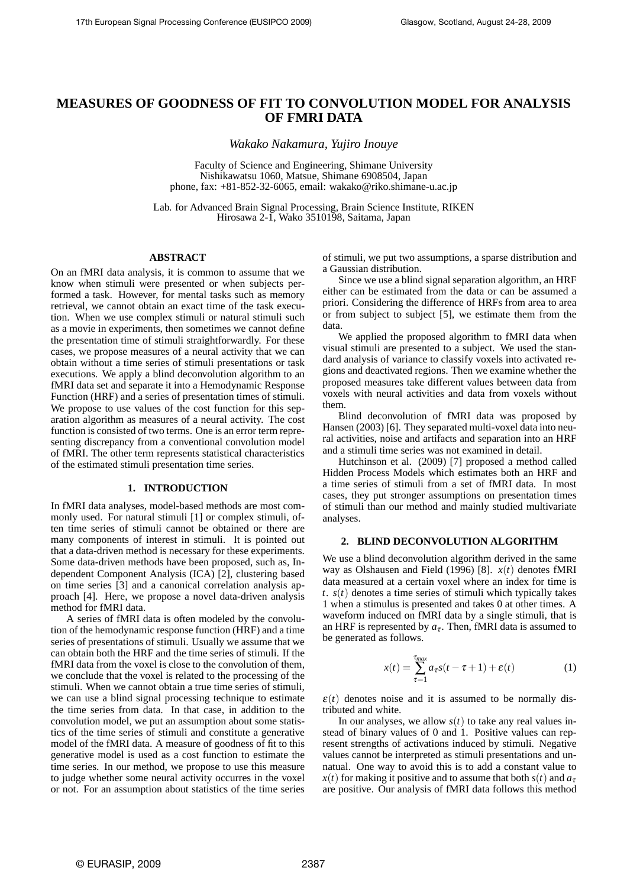# **MEASURES OF GOODNESS OF FIT TO CONVOLUTION MODEL FOR ANALYSIS OF FMRI DATA**

*Wakako Nakamura, Yujiro Inouye*

Faculty of Science and Engineering, Shimane University Nishikawatsu 1060, Matsue, Shimane 6908504, Japan phone, fax: +81-852-32-6065, email: wakako@riko.shimane-u.ac.jp

Lab. for Advanced Brain Signal Processing, Brain Science Institute, RIKEN Hirosawa 2-1, Wako 3510198, Saitama, Japan

## **ABSTRACT**

On an fMRI data analysis, it is common to assume that we know when stimuli were presented or when subjects performed a task. However, for mental tasks such as memory retrieval, we cannot obtain an exact time of the task execution. When we use complex stimuli or natural stimuli such as a movie in experiments, then sometimes we cannot define the presentation time of stimuli straightforwardly. For these cases, we propose measures of a neural activity that we can obtain without a time series of stimuli presentations or task executions. We apply a blind deconvolution algorithm to an fMRI data set and separate it into a Hemodynamic Response Function (HRF) and a series of presentation times of stimuli. We propose to use values of the cost function for this separation algorithm as measures of a neural activity. The cost function is consisted of two terms. One is an error term representing discrepancy from a conventional convolution model of fMRI. The other term represents statistical characteristics of the estimated stimuli presentation time series.

#### **1. INTRODUCTION**

In fMRI data analyses, model-based methods are most commonly used. For natural stimuli [1] or complex stimuli, often time series of stimuli cannot be obtained or there are many components of interest in stimuli. It is pointed out that a data-driven method is necessary for these experiments. Some data-driven methods have been proposed, such as, Independent Component Analysis (ICA) [2], clustering based on time series [3] and a canonical correlation analysis approach [4]. Here, we propose a novel data-driven analysis method for fMRI data.

A series of fMRI data is often modeled by the convolution of the hemodynamic response function (HRF) and a time series of presentations of stimuli. Usually we assume that we can obtain both the HRF and the time series of stimuli. If the fMRI data from the voxel is close to the convolution of them, we conclude that the voxel is related to the processing of the stimuli. When we cannot obtain a true time series of stimuli, we can use a blind signal processing technique to estimate the time series from data. In that case, in addition to the convolution model, we put an assumption about some statistics of the time series of stimuli and constitute a generative model of the fMRI data. A measure of goodness of fit to this generative model is used as a cost function to estimate the time series. In our method, we propose to use this measure to judge whether some neural activity occurres in the voxel or not. For an assumption about statistics of the time series of stimuli, we put two assumptions, a sparse distribution and a Gaussian distribution.

Since we use a blind signal separation algorithm, an HRF either can be estimated from the data or can be assumed a priori. Considering the difference of HRFs from area to area or from subject to subject [5], we estimate them from the data.

We applied the proposed algorithm to fMRI data when visual stimuli are presented to a subject. We used the standard analysis of variance to classify voxels into activated regions and deactivated regions. Then we examine whether the proposed measures take different values between data from voxels with neural activities and data from voxels without them.

Blind deconvolution of fMRI data was proposed by Hansen (2003) [6]. They separated multi-voxel data into neural activities, noise and artifacts and separation into an HRF and a stimuli time series was not examined in detail.

Hutchinson et al. (2009) [7] proposed a method called Hidden Process Models which estimates both an HRF and a time series of stimuli from a set of fMRI data. In most cases, they put stronger assumptions on presentation times of stimuli than our method and mainly studied multivariate analyses.

## **2. BLIND DECONVOLUTION ALGORITHM**

We use a blind deconvolution algorithm derived in the same way as Olshausen and Field (1996) [8]. *x*(*t*) denotes fMRI data measured at a certain voxel where an index for time is  $t. s(t)$  denotes a time series of stimuli which typically takes 1 when a stimulus is presented and takes 0 at other times. A waveform induced on fMRI data by a single stimuli, that is an HRF is represented by  $a_{\tau}$ . Then, fMRI data is assumed to be generated as follows.

$$
x(t) = \sum_{\tau=1}^{\tau_{max}} a_{\tau} s(t - \tau + 1) + \varepsilon(t)
$$
 (1)

 $\varepsilon(t)$  denotes noise and it is assumed to be normally distributed and white.

In our analyses, we allow  $s(t)$  to take any real values instead of binary values of 0 and 1. Positive values can represent strengths of activations induced by stimuli. Negative values cannot be interpreted as stimuli presentations and unnatual. One way to avoid this is to add a constant value to *x*(*t*) for making it positive and to assume that both  $s(t)$  and  $a<sub>\tau</sub>$ are positive. Our analysis of fMRI data follows this method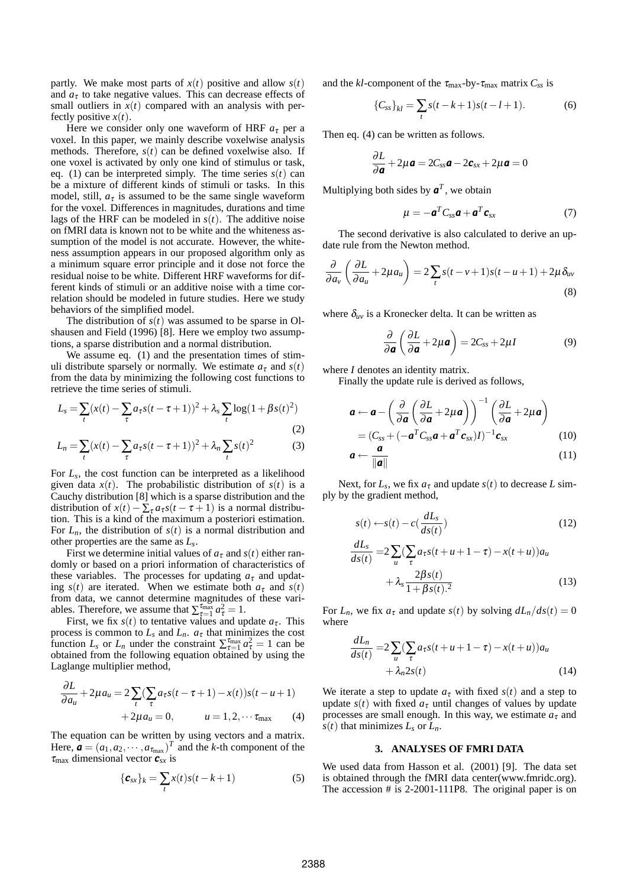partly. We make most parts of  $x(t)$  positive and allow  $s(t)$ and  $a<sub>\tau</sub>$  to take negative values. This can decrease effects of small outliers in  $x(t)$  compared with an analysis with perfectly positive *x*(*t*).

Here we consider only one waveform of HRF  $a<sub>\tau</sub>$  per a voxel. In this paper, we mainly describe voxelwise analysis methods. Therefore,  $s(t)$  can be defined voxelwise also. If one voxel is activated by only one kind of stimulus or task, eq. (1) can be interpreted simply. The time series  $s(t)$  can be a mixture of different kinds of stimuli or tasks. In this model, still,  $a<sub>\tau</sub>$  is assumed to be the same single waveform for the voxel. Differences in magnitudes, durations and time lags of the HRF can be modeled in  $s(t)$ . The additive noise on fMRI data is known not to be white and the whiteness assumption of the model is not accurate. However, the whiteness assumption appears in our proposed algorithm only as a minimum square error principle and it dose not force the residual noise to be white. Different HRF waveforms for different kinds of stimuli or an additive noise with a time correlation should be modeled in future studies. Here we study behaviors of the simplified model.

The distribution of  $s(t)$  was assumed to be sparse in Olshausen and Field (1996) [8]. Here we employ two assumptions, a sparse distribution and a normal distribution.

We assume eq. (1) and the presentation times of stimuli distribute sparsely or normally. We estimate  $a<sub>\tau</sub>$  and  $s(t)$ from the data by minimizing the following cost functions to retrieve the time series of stimuli.

$$
L_{s} = \sum_{t} (x(t) - \sum_{\tau} a_{\tau} s(t - \tau + 1))^{2} + \lambda_{s} \sum_{t} \log(1 + \beta s(t)^{2})
$$
\n(2)

$$
L_n = \sum_t (x(t) - \sum_{\tau} a_{\tau} s(t - \tau + 1))^2 + \lambda_n \sum_t s(t)^2
$$
 (3)

For *Ls*, the cost function can be interpreted as a likelihood given data  $x(t)$ . The probabilistic distribution of  $s(t)$  is a Cauchy distribution [8] which is a sparse distribution and the distribution of  $x(t) - \sum_{\tau} a_{\tau} s(t - \tau + 1)$  is a normal distribution. This is a kind of the maximum a posteriori estimation. For  $L_n$ , the distribution of  $s(t)$  is a normal distribution and other properties are the same as *Ls*.

First we determine initial values of  $a<sub>\tau</sub>$  and  $s(t)$  either randomly or based on a priori information of characteristics of these variables. The processes for updating  $a<sub>\tau</sub>$  and updating  $s(t)$  are iterated. When we estimate both  $a<sub>\tau</sub>$  and  $s(t)$ from data, we cannot determine magnitudes of these variables. Therefore, we assume that  $\sum_{\tau=1}^{\tau_{\text{max}}} a_{\tau}^2 = 1$ .

First, we fix  $s(t)$  to tentative values and update  $a_{\tau}$ . This process is common to  $L_s$  and  $L_n$ .  $a_{\tau}$  that minimizes the cost function *L<sub>s</sub>* or *L<sub>n</sub>* under the constraint  $\sum_{\tau=1}^{\tau_{\text{max}}} a_{\tau}^2 = 1$  can be obtained from the following equation obtained by using the Laglange multiplier method,

$$
\frac{\partial L}{\partial a_u} + 2\mu a_u = 2\sum_t (\sum_\tau a_\tau s(t-\tau+1) - x(t))s(t-u+1)
$$
  
+2\mu a\_u = 0, \t u = 1,2,... \tau\_{\text{max}} (4)

The equation can be written by using vectors and a matrix. Here,  $\mathbf{a} = (a_1, a_2, \dots, a_{\tau_{\text{max}}})^T$  and the *k*-th component of the  $\tau_{\text{max}}$  dimensional vector  $\boldsymbol{c}_{sx}$  is

$$
\{\boldsymbol{c}_{sx}\}_k = \sum_t x(t)s(t-k+1) \tag{5}
$$

and the *kl*-component of the  $\tau_{\text{max}}$ -by- $\tau_{\text{max}}$  matrix  $C_{ss}$  is

$$
\{C_{ss}\}_{kl} = \sum_{t} s(t - k + 1)s(t - l + 1). \tag{6}
$$

Then eq. (4) can be written as follows.

$$
\frac{\partial L}{\partial \mathbf{a}} + 2\mu \mathbf{a} = 2C_{ss}\mathbf{a} - 2\mathbf{c}_{sx} + 2\mu \mathbf{a} = 0
$$

Multiplying both sides by  $a^T$ , we obtain

$$
\mu = -\boldsymbol{a}^T C_{ss}\boldsymbol{a} + \boldsymbol{a}^T \boldsymbol{c}_{sx} \tag{7}
$$

The second derivative is also calculated to derive an update rule from the Newton method.

$$
\frac{\partial}{\partial a_v} \left( \frac{\partial L}{\partial a_u} + 2\mu a_u \right) = 2 \sum_t s(t - v + 1) s(t - u + 1) + 2\mu \delta_{uv}
$$
\n(8)

where  $\delta_{uv}$  is a Kronecker delta. It can be written as

$$
\frac{\partial}{\partial a}\left(\frac{\partial L}{\partial a} + 2\mu a\right) = 2C_{ss} + 2\mu I \tag{9}
$$

where *I* denotes an identity matrix.

Finally the update rule is derived as follows,

$$
\mathbf{a} \leftarrow \mathbf{a} - \left(\frac{\partial}{\partial \mathbf{a}}\left(\frac{\partial L}{\partial \mathbf{a}} + 2\mu \mathbf{a}\right)\right)^{-1}\left(\frac{\partial L}{\partial \mathbf{a}} + 2\mu \mathbf{a}\right)
$$
  
=  $(C_{ss} + (-\mathbf{a}^T C_{ss}\mathbf{a} + \mathbf{a}^T \mathbf{c}_{sx})I)^{-1}\mathbf{c}_{sx}$  (10)

$$
a \leftarrow \frac{a}{\|a\|} \tag{11}
$$

Next, for  $L_s$ , we fix  $a<sub>\tau</sub>$  and update  $s(t)$  to decrease L simply by the gradient method,

$$
s(t) \leftarrow s(t) - c\left(\frac{dL_s}{ds(t)}\right) \tag{12}
$$

$$
\frac{dL_s}{ds(t)} = 2\sum_u \left(\sum_\tau a_\tau s(t+u+1-\tau) - x(t+u)\right) a_u
$$

$$
+ \lambda_s \frac{2\beta s(t)}{1 + \beta s(t)^2} \tag{13}
$$

For  $L_n$ , we fix  $a_\tau$  and update  $s(t)$  by solving  $dL_n/ds(t) = 0$ where

$$
\frac{dL_n}{ds(t)} = 2\sum_{u} \left(\sum_{\tau} a_{\tau} s(t + u + 1 - \tau) - x(t + u)\right) a_u + \lambda_n 2s(t)
$$
\n(14)

We iterate a step to update  $a<sub>\tau</sub>$  with fixed  $s(t)$  and a step to update  $s(t)$  with fixed  $a<sub>\tau</sub>$  until changes of values by update processes are small enough. In this way, we estimate  $a<sub>\tau</sub>$  and  $s(t)$  that minimizes  $L_s$  or  $L_n$ .

#### **3. ANALYSES OF FMRI DATA**

We used data from Hasson et al. (2001) [9]. The data set is obtained through the fMRI data center(www.fmridc.org). The accession # is 2-2001-111P8. The original paper is on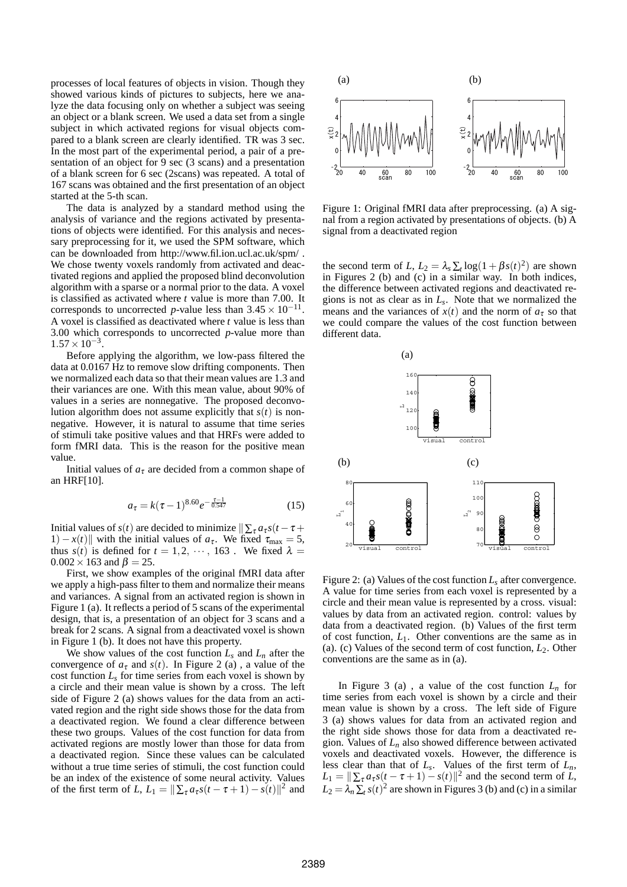processes of local features of objects in vision. Though they showed various kinds of pictures to subjects, here we analyze the data focusing only on whether a subject was seeing an object or a blank screen. We used a data set from a single subject in which activated regions for visual objects compared to a blank screen are clearly identified. TR was 3 sec. In the most part of the experimental period, a pair of a presentation of an object for 9 sec (3 scans) and a presentation of a blank screen for 6 sec (2scans) was repeated. A total of 167 scans was obtained and the first presentation of an object started at the 5-th scan.

The data is analyzed by a standard method using the analysis of variance and the regions activated by presentations of objects were identified. For this analysis and necessary preprocessing for it, we used the SPM software, which can be downloaded from http://www.fil.ion.ucl.ac.uk/spm/ . We chose twenty voxels randomly from activated and deactivated regions and applied the proposed blind deconvolution algorithm with a sparse or a normal prior to the data. A voxel is classified as activated where *t* value is more than 7.00. It corresponds to uncorrected *p*-value less than  $3.45 \times 10^{-11}$ . A voxel is classified as deactivated where *t* value is less than 3.00 which corresponds to uncorrected *p*-value more than  $1.57 \times 10^{-3}$ .

Before applying the algorithm, we low-pass filtered the data at 0.0167 Hz to remove slow drifting components. Then we normalized each data so that their mean values are 1.3 and their variances are one. With this mean value, about 90% of values in a series are nonnegative. The proposed deconvolution algorithm does not assume explicitly that  $s(t)$  is nonnegative. However, it is natural to assume that time series of stimuli take positive values and that HRFs were added to form fMRI data. This is the reason for the positive mean value.

Initial values of  $a<sub>\tau</sub>$  are decided from a common shape of an HRF[10].

$$
a_{\tau} = k(\tau - 1)^{8.60} e^{-\frac{\tau - 1}{0.547}} \tag{15}
$$

Initial values of *s*(*t*) are decided to minimize  $\sum_{\tau} a_{\tau} s(t - \tau +$ 1) − *x*(*t*)|| with the initial values of  $a_{\tau}$ . We fixed  $\tau_{\text{max}} = 5$ , thus  $s(t)$  is defined for  $t = 1, 2, \dots, 163$ . We fixed  $\lambda =$  $0.002 \times 163$  and  $\beta = 25$ .

First, we show examples of the original fMRI data after we apply a high-pass filter to them and normalize their means and variances. A signal from an activated region is shown in Figure 1 (a). It reflects a period of 5 scans of the experimental design, that is, a presentation of an object for 3 scans and a break for 2 scans. A signal from a deactivated voxel is shown in Figure 1 (b). It does not have this property.

We show values of the cost function  $L_s$  and  $L_n$  after the convergence of  $a_{\tau}$  and  $s(t)$ . In Figure 2 (a), a value of the cost function  $L<sub>s</sub>$  for time series from each voxel is shown by a circle and their mean value is shown by a cross. The left side of Figure 2 (a) shows values for the data from an activated region and the right side shows those for the data from a deactivated region. We found a clear difference between these two groups. Values of the cost function for data from activated regions are mostly lower than those for data from a deactivated region. Since these values can be calculated without a true time series of stimuli, the cost function could be an index of the existence of some neural activity. Values of the first term of *L*,  $L_1 = ||\sum_{\tau} a_{\tau} s(t - \tau + 1) - s(t)||^2$  and



Figure 1: Original fMRI data after preprocessing. (a) A signal from a region activated by presentations of objects. (b) A signal from a deactivated region

the second term of *L*,  $L_2 = \lambda_s \sum_t \log(1 + \beta s(t)^2)$  are shown in Figures 2 (b) and (c) in a similar way. In both indices, the difference between activated regions and deactivated regions is not as clear as in *Ls*. Note that we normalized the means and the variances of  $x(t)$  and the norm of  $a<sub>\tau</sub>$  so that we could compare the values of the cost function between different data.



Figure 2: (a) Values of the cost function *Ls* after convergence. A value for time series from each voxel is represented by a circle and their mean value is represented by a cross. visual: values by data from an activated region. control: values by data from a deactivated region. (b) Values of the first term of cost function, *L*1. Other conventions are the same as in (a). (c) Values of the second term of cost function, *L*2. Other conventions are the same as in (a).

In Figure 3 (a), a value of the cost function  $L_n$  for time series from each voxel is shown by a circle and their mean value is shown by a cross. The left side of Figure 3 (a) shows values for data from an activated region and the right side shows those for data from a deactivated region. Values of  $L_n$  also showed difference between activated voxels and deactivated voxels. However, the difference is less clear than that of  $L_s$ . Values of the first term of  $L_n$ ,  $L_1 = ||\sum_{\tau} a_{\tau} s(t - \tau + 1) - s(t)||^2$  and the second term of *L*,  $L_2 = \lambda_n \sum_t s(t)^2$  are shown in Figures 3 (b) and (c) in a similar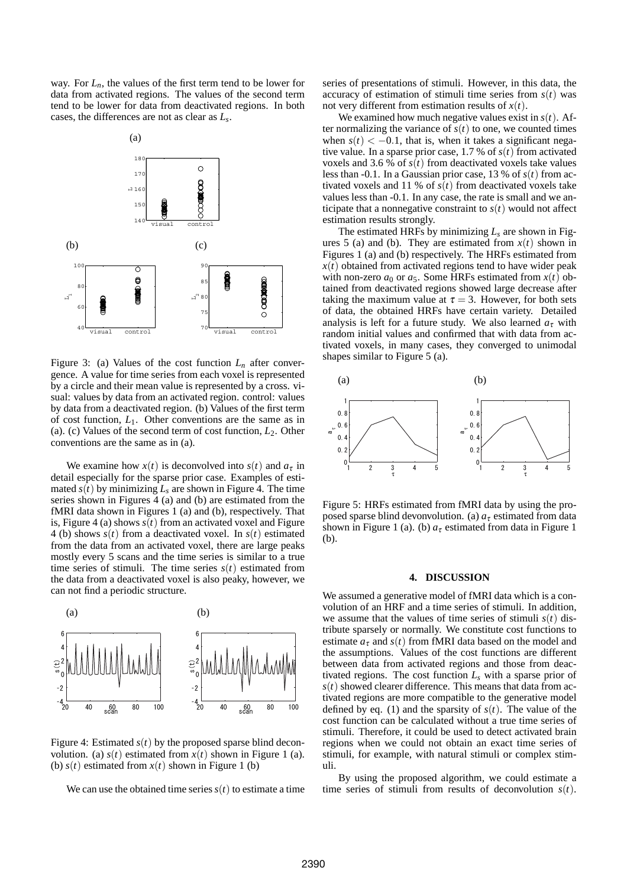way. For  $L_n$ , the values of the first term tend to be lower for data from activated regions. The values of the second term tend to be lower for data from deactivated regions. In both cases, the differences are not as clear as *Ls*.



Figure 3: (a) Values of the cost function  $L_n$  after convergence. A value for time series from each voxel is represented by a circle and their mean value is represented by a cross. visual: values by data from an activated region. control: values by data from a deactivated region. (b) Values of the first term of cost function, *L*1. Other conventions are the same as in (a). (c) Values of the second term of cost function, *L*2. Other conventions are the same as in (a).

We examine how  $x(t)$  is deconvolved into  $s(t)$  and  $a<sub>\tau</sub>$  in detail especially for the sparse prior case. Examples of estimated  $s(t)$  by minimizing  $L_s$  are shown in Figure 4. The time series shown in Figures 4 (a) and (b) are estimated from the fMRI data shown in Figures 1 (a) and (b), respectively. That is, Figure 4 (a) shows  $s(t)$  from an activated voxel and Figure 4 (b) shows *s*(*t*) from a deactivated voxel. In *s*(*t*) estimated from the data from an activated voxel, there are large peaks mostly every 5 scans and the time series is similar to a true time series of stimuli. The time series  $s(t)$  estimated from the data from a deactivated voxel is also peaky, however, we can not find a periodic structure.



Figure 4: Estimated  $s(t)$  by the proposed sparse blind deconvolution. (a)  $s(t)$  estimated from  $x(t)$  shown in Figure 1 (a). (b)  $s(t)$  estimated from  $x(t)$  shown in Figure 1 (b)

We can use the obtained time series  $s(t)$  to estimate a time

series of presentations of stimuli. However, in this data, the accuracy of estimation of stimuli time series from *s*(*t*) was not very different from estimation results of *x*(*t*).

We examined how much negative values exist in  $s(t)$ . After normalizing the variance of  $s(t)$  to one, we counted times when  $s(t) < -0.1$ , that is, when it takes a significant negative value. In a sparse prior case, 1.7 % of  $s(t)$  from activated voxels and 3.6 % of  $s(t)$  from deactivated voxels take values less than  $-0.1$ . In a Gaussian prior case, 13 % of  $s(t)$  from activated voxels and 11 % of  $s(t)$  from deactivated voxels take values less than -0.1. In any case, the rate is small and we anticipate that a nonnegative constraint to  $s(t)$  would not affect estimation results strongly.

The estimated HRFs by minimizing *Ls* are shown in Figures 5 (a) and (b). They are estimated from  $x(t)$  shown in Figures 1 (a) and (b) respectively. The HRFs estimated from  $x(t)$  obtained from activated regions tend to have wider peak with non-zero  $a_0$  or  $a_5$ . Some HRFs estimated from  $x(t)$  obtained from deactivated regions showed large decrease after taking the maximum value at  $\tau = 3$ . However, for both sets of data, the obtained HRFs have certain variety. Detailed analysis is left for a future study. We also learned  $a<sub>\tau</sub>$  with random initial values and confirmed that with data from activated voxels, in many cases, they converged to unimodal shapes similar to Figure 5 (a).



Figure 5: HRFs estimated from fMRI data by using the proposed sparse blind devonvolution. (a)  $a<sub>\tau</sub>$  estimated from data shown in Figure 1 (a). (b)  $a<sub>\tau</sub>$  estimated from data in Figure 1 (b).

#### **4. DISCUSSION**

We assumed a generative model of fMRI data which is a convolution of an HRF and a time series of stimuli. In addition, we assume that the values of time series of stimuli  $s(t)$  distribute sparsely or normally. We constitute cost functions to estimate  $a_{\tau}$  and  $s(t)$  from fMRI data based on the model and the assumptions. Values of the cost functions are different between data from activated regions and those from deactivated regions. The cost function *Ls* with a sparse prior of  $s(t)$  showed clearer difference. This means that data from activated regions are more compatible to the generative model defined by eq. (1) and the sparsity of  $s(t)$ . The value of the cost function can be calculated without a true time series of stimuli. Therefore, it could be used to detect activated brain regions when we could not obtain an exact time series of stimuli, for example, with natural stimuli or complex stimuli.

By using the proposed algorithm, we could estimate a time series of stimuli from results of deconvolution *s*(*t*).